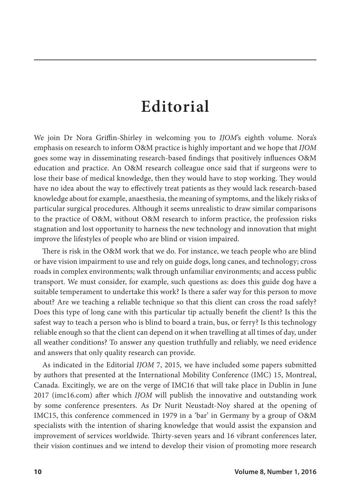## **Editorial**

We join Dr Nora Griffin-Shirley in welcoming you to *IJOM*'s eighth volume. Nora's emphasis on research to inform O&M practice is highly important and we hope that *IJOM*  goes some way in disseminating research-based findings that positively influences O&M education and practice. An O&M research colleague once said that if surgeons were to lose their base of medical knowledge, then they would have to stop working. They would have no idea about the way to effectively treat patients as they would lack research-based knowledge about for example, anaesthesia, the meaning of symptoms, and the likely risks of particular surgical procedures. Although it seems unrealistic to draw similar comparisons to the practice of O&M, without O&M research to inform practice, the profession risks stagnation and lost opportunity to harness the new technology and innovation that might improve the lifestyles of people who are blind or vision impaired.

There is risk in the O&M work that we do. For instance, we teach people who are blind or have vision impairment to use and rely on guide dogs, long canes, and technology; cross roads in complex environments; walk through unfamiliar environments; and access public transport. We must consider, for example, such questions as: does this guide dog have a suitable temperament to undertake this work? Is there a safer way for this person to move about? Are we teaching a reliable technique so that this client can cross the road safely? Does this type of long cane with this particular tip actually benefit the client? Is this the safest way to teach a person who is blind to board a train, bus, or ferry? Is this technology reliable enough so that the client can depend on it when travelling at all times of day, under all weather conditions? To answer any question truthfully and reliably, we need evidence and answers that only quality research can provide.

As indicated in the Editorial *IJOM* 7, 2015, we have included some papers submitted by authors that presented at the International Mobility Conference (IMC) 15, Montreal, Canada. Excitingly, we are on the verge of IMC16 that will take place in Dublin in June 2017 (imc16.com) after which *IJOM* will publish the innovative and outstanding work by some conference presenters. As Dr Nurit Neustadt-Noy shared at the opening of IMC15, this conference commenced in 1979 in a 'bar' in Germany by a group of O&M specialists with the intention of sharing knowledge that would assist the expansion and improvement of services worldwide. Thirty-seven years and 16 vibrant conferences later, their vision continues and we intend to develop their vision of promoting more research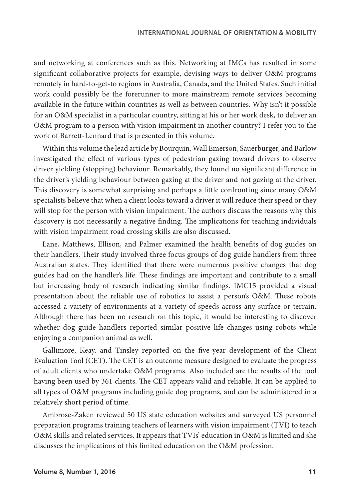and networking at conferences such as this. Networking at IMCs has resulted in some significant collaborative projects for example, devising ways to deliver O&M programs remotely in hard-to-get-to regions in Australia, Canada, and the United States. Such initial work could possibly be the forerunner to more mainstream remote services becoming available in the future within countries as well as between countries. Why isn't it possible for an O&M specialist in a particular country, sitting at his or her work desk, to deliver an O&M program to a person with vision impairment in another country? I refer you to the work of Barrett-Lennard that is presented in this volume.

Within this volume the lead article by Bourquin, Wall Emerson, Sauerburger, and Barlow investigated the effect of various types of pedestrian gazing toward drivers to observe driver yielding (stopping) behaviour. Remarkably, they found no significant difference in the driver's yielding behaviour between gazing at the driver and not gazing at the driver. This discovery is somewhat surprising and perhaps a little confronting since many O&M specialists believe that when a client looks toward a driver it will reduce their speed or they will stop for the person with vision impairment. The authors discuss the reasons why this discovery is not necessarily a negative finding. The implications for teaching individuals with vision impairment road crossing skills are also discussed.

Lane, Matthews, Ellison, and Palmer examined the health benefits of dog guides on their handlers. Their study involved three focus groups of dog guide handlers from three Australian states. They identified that there were numerous positive changes that dog guides had on the handler's life. These findings are important and contribute to a small but increasing body of research indicating similar findings. IMC15 provided a visual presentation about the reliable use of robotics to assist a person's O&M. These robots accessed a variety of environments at a variety of speeds across any surface or terrain. Although there has been no research on this topic, it would be interesting to discover whether dog guide handlers reported similar positive life changes using robots while enjoying a companion animal as well.

Gallimore, Keay, and Tinsley reported on the five-year development of the Client Evaluation Tool (CET). The CET is an outcome measure designed to evaluate the progress of adult clients who undertake O&M programs. Also included are the results of the tool having been used by 361 clients. The CET appears valid and reliable. It can be applied to all types of O&M programs including guide dog programs, and can be administered in a relatively short period of time.

Ambrose-Zaken reviewed 50 US state education websites and surveyed US personnel preparation programs training teachers of learners with vision impairment (TVI) to teach O&M skills and related services. It appears that TVIs' education in O&M is limited and she discusses the implications of this limited education on the O&M profession.